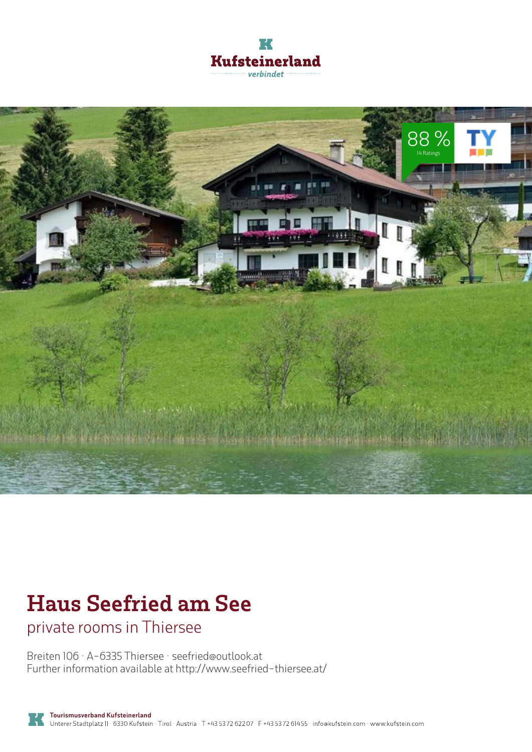



## **Haus Seefried am See**

private rooms in Thiersee

Breiten 106 · A-6335 Thiersee · **seefried@outlook.at** Further information available at **http://www.seefried-thiersee.at/**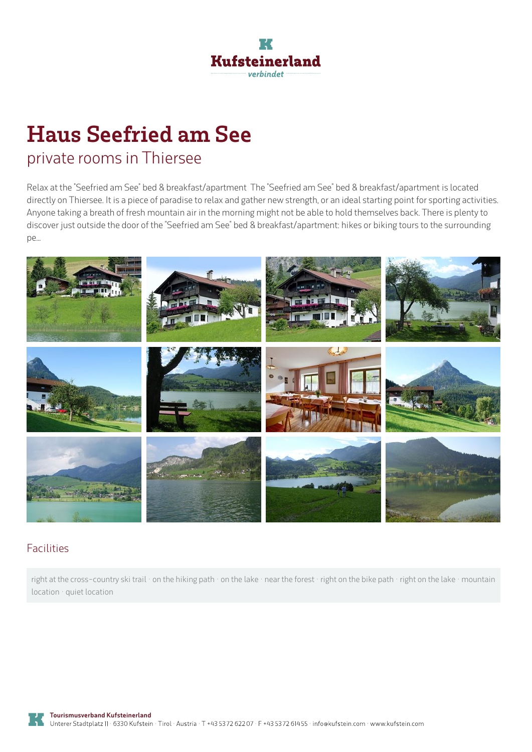

# **Haus Seefried am See**

### private rooms in Thiersee

Relax at the "Seefried am See" bed & breakfast/apartment The "Seefried am See" bed & breakfast/apartment is located directly on Thiersee. It is a piece of paradise to relax and gather new strength, or an ideal starting point for sporting activities. Anyone taking a breath of fresh mountain air in the morning might not be able to hold themselves back. There is plenty to discover just outside the door of the "Seefried am See" bed & breakfast/apartment: hikes or biking tours to the surrounding pe...



#### Facilities

right at the cross-country ski trail · on the hiking path · on the lake · near the forest · right on the bike path · right on the lake · mountain location · quiet location